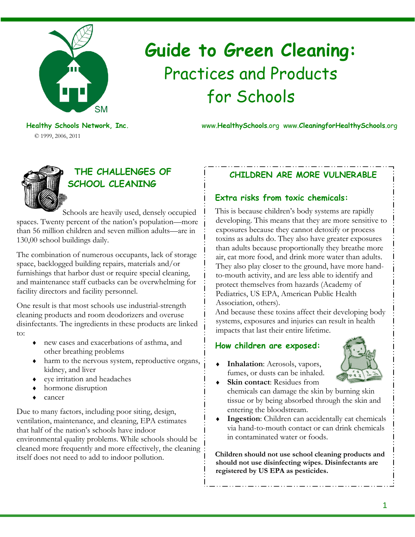

# **Guide to Green Cleaning:**  Practices and Products for Schools

**Healthy Schools Network, Inc.** www.**HealthySchools**.org www.**CleaningforHealthySchools**.org



© 1999, 2006, 2011

## **THE CHALLENGES OF SCHOOL CLEANING**

Schools are heavily used, densely occupied spaces. Twenty percent of the nation's population—more than 56 million children and seven million adults—are in 130,00 school buildings daily.

The combination of numerous occupants, lack of storage space, backlogged building repairs, materials and/or furnishings that harbor dust or require special cleaning, and maintenance staff cutbacks can be overwhelming for facility directors and facility personnel.

One result is that most schools use industrial-strength cleaning products and room deodorizers and overuse disinfectants. The ingredients in these products are linked to:

- ♦ new cases and exacerbations of asthma, and other breathing problems
- ♦ harm to the nervous system, reproductive organs, kidney, and liver
- ♦ eye irritation and headaches
- hormone disruption
- cancer

Due to many factors, including poor siting, design, ventilation, maintenance, and cleaning, EPA estimates that half of the nation's schools have indoor environmental quality problems. While schools should be cleaned more frequently and more effectively, the cleaning itself does not need to add to indoor pollution.

## **CHILDREN ARE MORE VULNERABLE**

## **Extra risks from toxic chemicals:**

This is because children's body systems are rapidly developing. This means that they are more sensitive to exposures because they cannot detoxify or process toxins as adults do. They also have greater exposures than adults because proportionally they breathe more air, eat more food, and drink more water than adults. They also play closer to the ground, have more handto-mouth activity, and are less able to identify and protect themselves from hazards (Academy of Pediatrics, US EPA, American Public Health Association, others).

And because these toxins affect their developing body systems, exposures and injuries can result in health impacts that last their entire lifetime.

## **How children are exposed:**

**Inhalation**: Aerosols, vapors, fumes, or dusts can be inhaled.

- 
- ♦ **Skin contact**: Residues from chemicals can damage the skin by burning skin tissue or by being absorbed through the skin and entering the bloodstream.
- ♦ **Ingestion**: Children can accidentally eat chemicals via hand-to-mouth contact or can drink chemicals in contaminated water or foods.

**Children should not use school cleaning products and should not use disinfecting wipes. Disinfectants are registered by US EPA as pesticides.**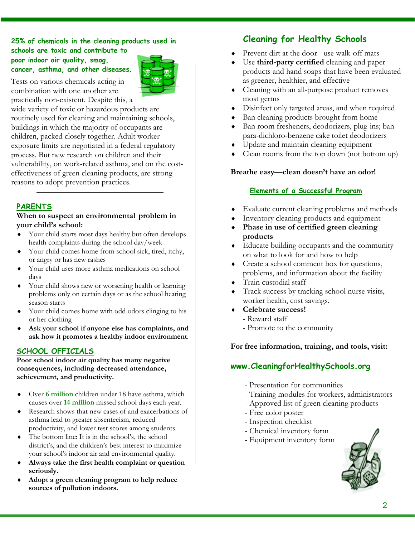#### **25% of chemicals in the cleaning products used in schools are toxic and contribute to**

**poor indoor air quality, smog, cancer, asthma, and other diseases.** 



Tests on various chemicals acting in combination with one another are practically non-existent. Despite this, a

wide variety of toxic or hazardous products are routinely used for cleaning and maintaining schools, buildings in which the majority of occupants are children, packed closely together. Adult worker exposure limits are negotiated in a federal regulatory process. But new research on children and their vulnerability, on work-related asthma, and on the costeffectiveness of green cleaning products, are strong reasons to adopt prevention practices.

## **PARENTS**

#### **When to suspect an environmental problem in your child's school:**

- ♦ Your child starts most days healthy but often develops health complaints during the school day/week
- ♦ Your child comes home from school sick, tired, itchy, or angry or has new rashes
- ♦ Your child uses more asthma medications on school days
- ♦ Your child shows new or worsening health or learning problems only on certain days or as the school heating season starts
- ♦ Your child comes home with odd odors clinging to his or her clothing
- ♦ **Ask your school if anyone else has complaints, and ask how it promotes a healthy indoor environment**.

## **SCHOOL OFFICIALS**

**Poor school indoor air quality has many negative consequences, including decreased attendance, achievement, and productivity.** 

- ♦ Over **6 million** children under 18 have asthma, which causes over **14 million** missed school days each year.
- Research shows that new cases of and exacerbations of asthma lead to greater absenteeism, reduced productivity, and lower test scores among students.
- The bottom line: It is in the school's, the school district's, and the children's best interest to maximize your school's indoor air and environmental quality.
- Always take the first health complaint or question **seriously.**
- Adopt a green cleaning program to help reduce **sources of pollution indoors.**

## **Cleaning for Healthy Schools**

- ♦ Prevent dirt at the door use walk-off mats
- Use **third-party certified** cleaning and paper products and hand soaps that have been evaluated as greener, healthier, and effective
- ♦ Cleaning with an all-purpose product removes most germs
- ♦ Disinfect only targeted areas, and when required
- Ban cleaning products brought from home
- Ban room fresheners, deodorizers, plug-ins; ban para-dichloro-benzene cake toilet deodorizers
- Update and maintain cleaning equipment
- Clean rooms from the top down (not bottom up)

### **Breathe easy—clean doesn't have an odor!**

### **Elements of a Successful Program**

- ♦ Evaluate current cleaning problems and methods
- Inventory cleaning products and equipment
- Phase in use of certified green cleaning **products**
- ♦ Educate building occupants and the community on what to look for and how to help
- ♦ Create a school comment box for questions, problems, and information about the facility
- ♦ Train custodial staff
- Track success by tracking school nurse visits, worker health, cost savings.
- ♦ **Celebrate success!** 
	- Reward staff
	- Promote to the community

#### **For free information, training, and tools, visit:**

## **www.CleaningforHealthySchools.org**

- Presentation for communities
- Training modules for workers, administrators
- Approved list of green cleaning products
- Free color poster
- Inspection checklist
- Chemical inventory form
- Equipment inventory form

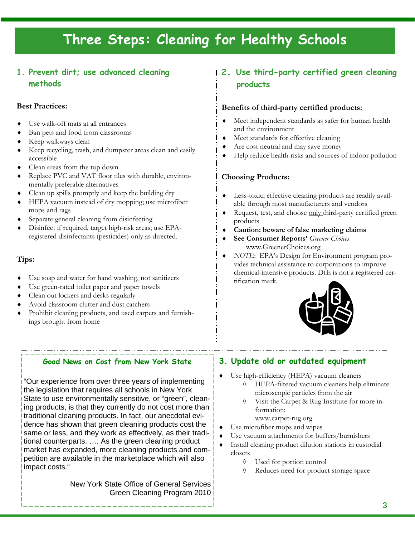## **Three Steps: Cleaning for Healthy Schools**

## **1. Prevent dirt; use advanced cleaning methods**

#### **Best Practices:**

- Use walk-off mats at all entrances
- Ban pets and food from classrooms
- Keep walkways clean
- Keep recycling, trash, and dumpster areas clean and easily accessible
- ♦ Clean areas from the top down
- ♦ Replace PVC and VAT floor tiles with durable, environmentally preferable alternatives
- ♦ Clean up spills promptly and keep the building dry
- HEPA vacuum instead of dry mopping; use microfiber mops and rags
- Separate general cleaning from disinfecting
- Disinfect if required, target high-risk areas; use EPAregistered disinfectants (pesticides) only as directed.

### **Tips:**

- Use soap and water for hand washing, not sanitizers
- Use green-rated toilet paper and paper towels
- Clean out lockers and desks regularly
- Avoid classroom clutter and dust catchers
- Prohibit cleaning products, and used carpets and furnishings brought from home

## **2. Use third-party certified green cleaning products**

#### **Benefits of third-party certified products:**

- ♦ Meet independent standards as safer for human health and the environment
- Meet standards for effective cleaning
- Are cost neutral and may save money
- Help reduce health risks and sources of indoor pollution

#### **Choosing Products:**

- ♦ Less-toxic, effective cleaning products are readily available through most manufacturers and vendors
- Request, test, and choose only third-party certified green products
- Caution: beware of false marketing claims
- ♦ **See Consumer Reports'** *Greener Choices*  www.GreenerChoices.org
- ♦ *NOTE*: EPA's Design for Environment program provides technical assistance to corporations to improve chemical-intensive products. DfE is not a registered certification mark.



#### **Good News on Cost from New York State**

"Our experience from over three years of implementing the legislation that requires all schools in New York State to use environmentally sensitive, or "green", cleaning products, is that they currently do not cost more than traditional cleaning products. In fact, our anecdotal evidence has shown that green cleaning products cost the same or less, and they work as effectively, as their traditional counterparts. …. As the green cleaning product market has expanded, more cleaning products and competition are available in the marketplace which will also impact costs."

> New York State Office of General Services Green Cleaning Program 2010

## **3. Update old or outdated equipment**

- Use high-efficiency (HEPA) vacuum cleaners
	- ◊ HEPA-filtered vacuum cleaners help eliminate microscopic particles from the air
	- ◊ Visit the Carpet & Rug Institute for more information:
		- www.carpet-rug.org
- Use microfiber mops and wipes
- Use vacuum attachments for buffers/burnishers
- Install cleaning product dilution stations in custodial closets
	- ◊ Used for portion control
	- ◊ Reduces need for product storage space